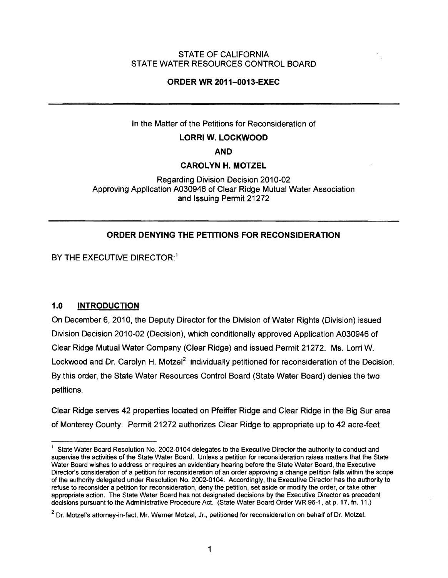### STATE OF CALIFORNIA STATE WATER RESOURCES CONTROL BOARD

## ORDER WR 2011-0013-EXEC

### In the Matter of the Petitions for Reconsideration of

### LORRI W. LOCKWOOD

AND

### CAROLYN H. MOTZEL

Regarding Division Decision 2010-02 Approving Application A030946 of Clear Ridge Mutual Water Association and Issuing Permit 21272

## ORDER DENYING THE PETITIONS FOR RECONSIDERATION

BY THE EXECUTIVE DIRECTOR:<sup>1</sup>

## 1.0 INTRODUCTION

On December 6, 2010, the Deputy Director for the Division of Water Rights (Division) issued Division Decision 2010-02 (Decision), which conditionally approved Application A030946 of Clear Ridge Mutual Water Company (Clear Ridge) and issued Permit 21272. Ms. Lorri W. Lockwood and Dr. Carolyn H. Motzel<sup>2</sup> individually petitioned for reconsideration of the Decision. By this order, the State Water Resources Control Board (State Water Board) denies the two petitions.

Clear Ridge serves 42 properties located on pfeiffer Ridge and Clear Ridge in the Big Sur area of Monterey County. Permit 21272 authorizes Clear Ridge to appropriate up to 42 acre-feet

<sup>&</sup>lt;sup>1</sup> State Water Board Resolution No. 2002-0104 delegates to the Executive Director the authority to conduct and supervise the activities of the State Water Board. Unless a petition for reconsideration raises matters that the State Water Board wishes to address or requires an evidentiary hearing before the State Water Board, the Executive Director's consideration of a petition for reconsideration of an order approving a change petition falls within the scope of the authority delegated under Resolution No. 2002-0104. Accordingly, the Executive Director has the authority to refuse to reconsider a petition for reconsideration, deny the petition, set aside or modify the order, or take other appropriate action. The State Water Board has not designated decisions by the Executive Director as precedent decisions pursuant to the Administrative Procedure Act. (State Water Board Order WR 96-1, at p. 17, fn. 11.)

<sup>&</sup>lt;sup>2</sup> Dr. Motzel's attorney-in-fact, Mr. Werner Motzel, Jr., petitioned for reconsideration on behalf of Dr. Motzel.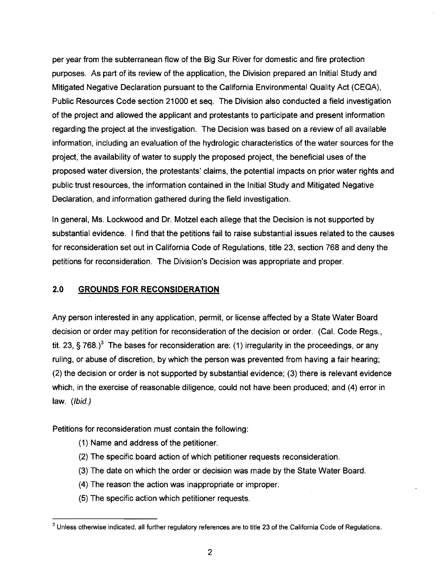per year from the subterranean flow of the Big Sur River for domestic and fire protection purposes. As part of its review of the application, the Division prepared an Initial Study and Mitigated Negative Declaration pursuant to the California Environmental Quality Act (CEQA). Public Resources Code section 21000 et seq. The Division also conducted a field investigation of the project and allowed the applicant and protestants to participate and present information regarding the project at the investigation. The Decision was based on a review of all available information. including an evaluation of the hydrologic characteristics of the water sources for the project. the availability of water to supply the proposed project, the beneficial uses of the proposed water diversion, the protestants' claims, the potential impacts on prior water rights and public trust resources, the information contained in the Initial Study and Mitigated Negative Declaration, and information gathered during the field investigation.

In general, Ms. Lockwood and Dr. Motzel each allege that the Decision is not supported by substantial evidence. I find that the petitions fail to raise substantial issues related to the causes for reconsideration set out in California Code of Regulations, title 23, section 768 and deny the petitions for reconsideration. The Division's Decision was appropriate and proper.

# **2.0 GROUNDS FOR RECONSIDERATION**

Any person interested in any application, permit, or license affected by a State Water Board decision or order may petition for reconsideration of the decision or order. (Cal. Code Regs., tit. 23, § 768.)<sup>3</sup> The bases for reconsideration are: (1) irregularity in the proceedings, or any ruling, or abuse of discretion, by which the person was prevented from having a fair hearing; (2) the decision or order is not supported by substantial evidence; (3) there is relevant evidence which, in the exercise of reasonable diligence, could not have been produced; and (4) error in law. (Ibid.)

Petitions for reconsideration must contain the following:

- (1) Name and address of the petitioner.
- (2) The specific board action of which petitioner requests reconsideration.
- (3) The date on which the order or decision was made by the State Water Board.
- (4) The reason the action was inappropriate or improper.
- (5) The specific action which petitioner requests.

 $3$  Unless otherwise indicated, all further regulatory references are to title 23 of the California Code of Regulations.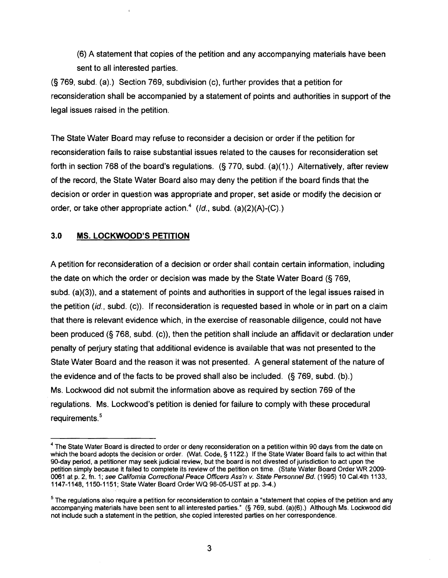(6) A statement that copies of the petition and any accompanying materials have been sent to all interested parties.

(§ 769, subd. (a).) Section 769, subdivision (c), further provides that a petition for reconsideration shall be accompanied by a statement of points and authorities in support of the legal issues raised in the petition.

The State Water Board may refuse to reconsider a decision or order if the petition for reconsideration fails to raise substantial issues related to the causes for reconsideration set forth in section 768 of the board's regulations. (§ 770, subd. (a)(1).) Alternatively, after review of the record, the State Water Board also may deny the petition if the board finds that the decision or order in question was appropriate and proper, set aside or modify the decision or order, or take other appropriate action.<sup>4</sup> ( $ld$ , subd. (a)(2)(A)-(C).)

## 3.0 **MS. LOCKWOOD'S PETITION**

A petition for reconsideration of a decision or order shall contain certain information, including the date on which the order or decision was made by the State Water Board (§ 769, subd. (a)(3)), and a statement of points and authorities in support of the legal issues raised in the petition *(id.,* subd. (c)). If reconsideration is requested based in whole or in part on a claim that there is relevant evidence which, in the exercise of reasonable diligence, could not have been produced  $(§ 768, subd. (c))$ , then the petition shall include an affidavit or declaration under penalty of perjury stating that additional evidence is available that was not presented to the State Water Board and the reason it was not presented. A general statement of the nature of the evidence and of the facts to be proved shall also be included. (§ 769, subd. (b).) Ms. Lockwood did not submit the information above as required by section 769 of the regulations. Ms. Lockwood's petition is denied for failure to comply with these procedural requirements.<sup>5</sup>

 $<sup>4</sup>$  The State Water Board is directed to order or deny reconsideration on a petition within 90 days from the date on</sup> which the board adopts the decision or order. (Wat. Code, § 1122.) If the State Water Board fails to act within that 90-day period, a petitioner may seek judicial review, but the board is not divested of jurisdiction to act upon the petition simply because it failed to complete its' review of the petition on time. (State Water Board Order WR 2009 0061 at p. 2, fn. 1; see California Correctional Peace Officers Ass'n v. State Personnel Bd. (1995) 10 Cal.4th 1133, 1147-1148,1150-1151; State Water Board OrderWO 98-05-UST at pp. 3-4.)

 $<sup>5</sup>$  The regulations also require a petition for reconsideration to contain a "statement that copies of the petition and any</sup> accompanying materials have been sent to all interested parties." (§ 769, subd. (a)(6).) Although Ms. Lockwood did not include such a statement in the petition, she copied interested parties on her correspondence.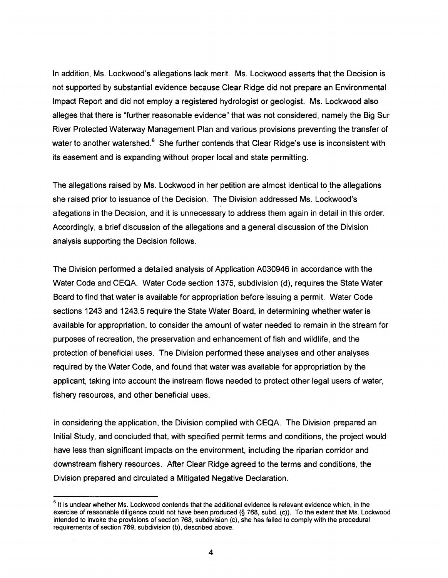In addition, Ms. Lockwood's allegations lack merit. Ms. Lockwood asserts that the Decision is not supported by substantial evidence because Clear Ridge did not prepare an Environmental Impact Report and did not employ a registered hydrologist or geologist. Ms. Lockwood also alleges that there is "further reasonable evidence" that was not considered, namely the Big Sur River Protected Waterway Management Plan and various provisions preventing the transfer of water to another watershed. $6$  She further contends that Clear Ridge's use is inconsistent with its easement and is expanding without proper local and state permitting.

The allegations raised by Ms. Lockwood in her petition are almost identical to the allegations she raised prior to issuance of the Decision. The Division addressed Ms. Lockwood's allegations in the Decision, and it is unnecessary to address them again in detail in this order. Accordingly, a brief discussion of the allegations and a general discussion of the Division analysis supporting the Decision follows.

The Division performed a detailed analysis of Application A030946 in accordance with the Water Code and CEQA. Water Code section 1375, subdivision (d), requires the State Water Board to find that water is available for appropriation before issuing a permit. Water Code sections 1243 and 1243.5 require the State Water Board, in determining whether water is available for appropriation, to consider the amount of water needed to remain in the stream for purposes of recreation, the preservation and enhancement of fish and wildlife, and the protection of beneficial uses. The Division performed these analyses and other analyses required by the Water Code, and found that water was available for appropriation by the applicant, taking into account the instream flows needed to protect other legal users of water, fishery resources, and other beneficial uses.

In considering the application, the Division complied with CEQA. The Division prepared an Initial Study, and concluded that, with specified permit terms and conditions, the project would have less than significant impacts on the environment, including the riparian corridor and downstream fishery resources. After Clear Ridge agreed to the terms and conditions, the Division prepared and circulated a Mitigated Negative Declaration.

 $6$  It is unclear whether Ms. Lockwood contends that the additional evidence is relevant evidence which, in the exercise of reasonable diligence could not have been produced (§ 768, subd. (c)). To the extent that Ms. Lockwood intended to invoke the provisions of section 768. subdivision (c). she has failed to comply with the procedural requirements of section 769. subdivision (b), described above.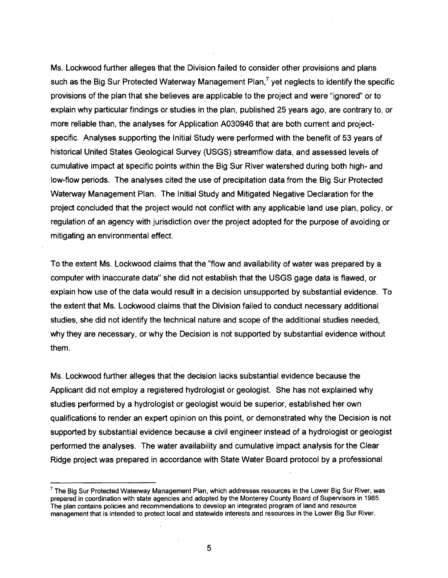Ms. Lockwood further alleges that the Division failed to consider other provisions and plans such as the Big Sur Protected Waterway Management Plan,<sup>7</sup> yet neglects to identify the specific provisions of the plan that she believes are applicable to the project and were "ignored" or to explain why particular findings or studies in the plan, published 25 years ago, are contrary to, or more reliable than, the analyses for Application A030946 that are both current and projectspecific. Analyses supporting the Initial Study were performed with the benefit of 53 years of historical United States Geological Survey (USGS) streamflow data, and assessed levels of cumulative impact at specific points within the Big Sur River watershed during both high- and low-flow periods. The analyses cited the use of precipitation data from the Big Sur Protected Waterway Management Plan. The Initial Study and Mitigated Negative Declaration for the project concluded that the project would not conflict with any applicable land use plan, policy, or regulation of an agency with jurisdiction over the project adopted for the purpose of avoiding or mitigating an environmental effect.

To the extent Ms. Lockwood claims that the "flow and availability of water was prepared by a computer with inaccurate data" she did not establish that the USGS gage data is flawed, or explain how use of the data would result in a decision unsupported by substantial evidence. To the extent that Ms. Lockwood claims that the Division failed to conduct necessary additional studies, she did not identify the technical nature and scope of the additional studies needed, . why they are necessary, or why the Decision is not supported by substantial evidence without them.

Ms. Lockwood further alleges that the decision lacks substantial evidence because the . Applicant did not employ a registered hydrologist or geologist. She has not explained why studies performed by a hydrologist or geologist would be superior, established her own qualifications to render an expert opinion on this point, or demonstrated why the Decision is not supported by substantial evidence because a civil engineer instead of a hydrologist or geologist performed the analyses. The water availability and cumulative impact analysis for the Clear Ridge project was prepared in accordance with State Water Board protocol by a professional

 $<sup>7</sup>$  The Big Sur Protected Waterway Management Plan, which addresses resources in the Lower Big Sur River, was</sup> prepared in coordination with state agencies and adopted by the Monterey County Board of Supervisors in 1985. The plan contains policies and recommendations to develop an integrated program of land and resource management that is intended to protect local and statewide interests and resources in the Lower Big Sur River.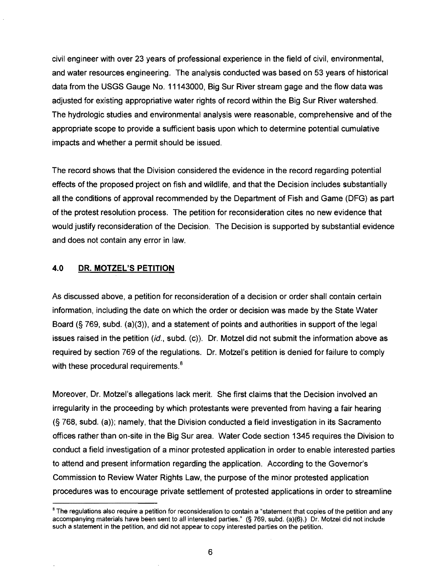civil engineer with over 23 years of professional experience in the field of civil, environmental, and water resources engineering. The analysis conducted was based on 53 years of historical data from the USGS Gauge No. 11143000, Big Sur River stream gage and the flow data was adjusted for existing appropriative water rights of record within the Big Sur River watershed. The hydrologic studies and environmental analysis were reasonable, comprehensive and of the appropriate scope to provide a sufficient basis upon which to determine potential cumulative impacts and whether a permit should be issued.

The record shows that the Division considered the evidence in the record regarding potential effects of the proposed project on fish and wildlife, and that the Decision includes substantially all the conditions of approval recommended by the Department of Fish and Game (DFG) as part of the protest resolution process. The petition for reconsideration cites no new evidence that would justify reconsideration of the Decision. The Decision is supported by substantial evidence and does not contain any error in law.

### **4.0 DR. MOTZEL'S PETITION**

As discussed above, a petition for reconsideration of a decision or order shall contain certain information, including the date on which the order or decision was made by the State Water Board (§ 769, subd. (a)(3», and a statement of points and authorities in support of the legal issues raised in the petition  $(id,$  subd.  $(c)$ ). Dr. Motzel did not submit the information above as required by section 769 of the regulations. Dr. Motzel's petition is denied for failure to comply with these procedural requirements.<sup>8</sup>

Moreover, Dr. Motzel's allegations lack merit. She first claims that the Decision involved an irregularity in the proceeding by which protestants were prevented from having a fair hearing  $(S<sub>1</sub>768, subd. (a))$ ; namely, that the Division conducted a field investigation in its Sacramento offices rather than on-site in the Big Sur area. Water Code section 1345 requires the Division to conduct a field investigation of a minor protested application in order to enable interested parties to attend and present information regarding the application. According to the Governor's Commission to Review Water Rights Law, the purpose of the minor protested application procedures was to encourage private settlement of protested applications in order to streamline

<sup>&</sup>lt;sup>8</sup> The regulations also require a petition for reconsideration to contain a "statement that copies of the petition and any accompanying materials have been sent to all interested parties." (§ 769, subd. (a)(6).) Dr. Motzel did not include such a statement in the petition, and did not appear to copy interested parties on the petition.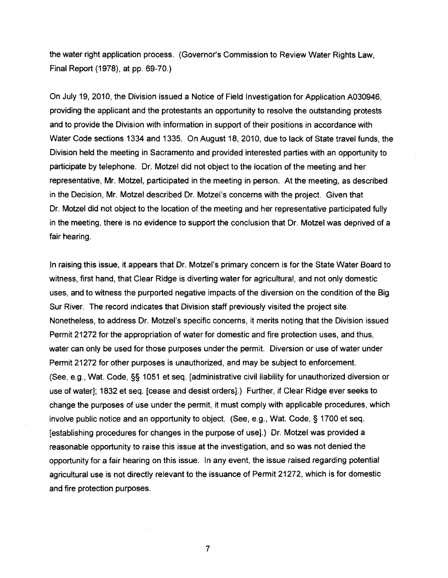the water right application process. (Governor's Commission to ReviewWater Rights Law, Final Report (1978), at pp. 69-70.)

On July 19, 2010, the Division issued a Notice of Field Investigation for Application A030946, providing the applicant and the protestants an opportunity to resolve the outstanding protests and to provide the Division with information in support of their positions in accordance with Water Code sections 1334 and 1335. On August 18, 2010, due to lack of State travel funds, the Division held the meeting in Sacramento and provided interested parties with an opportunity to participate by telephone. Dr. Motzel did not object to the location of the meeting and her representative, Mr. Motze!, participated in the meeting in person. At the meeting, as described in the Decision, Mr. Motzel described Dr. Motzel's concerns with the project. Given that Dr. Motzel did not object to the location of the meeting and her representative participated fully in the meeting, there is no evidence to support the conclusion that Dr. Motzel was deprived of a fair hearing.

.In raising this issue, itappears that Dr. Motzel's primary concern is for the State Water Board to witness, first hand, that Clear Ridge is diverting water for agricultural, and not only domestic uses, and to witness the purported negative impacts of the diversion on the condition of the Big Sur River. The record indicates that Division staff previously visited the project site. Nonetheless. to address Dr. Motzel's specific concerns, it merits noting that the Division issued Permit 21272 for the appropriation of water for domestic and fire protection uses, and thus, water can only be used for those purposes under the permit. Diversion or use of water under Permit 21272 for other purposes is unauthorized, and may be subject to enforcement. (See, e.g., Wat. Code, §§ 1051 et seq. [administrative civil liability for unauthorized diversion or use of water]; 1832 et seq. [cease and desist orders].) Further, if Clear Ridge ever seeks to change the purposes of use under the permit, it must comply with applicable procedures, which involve public notice and an opportunity to object. (See, e.g., Wat. Code, § 1700 et seq. [establishing procedures for changes in the purpose of use].) Dr. Motzel was provided a reasonable opportunity to raise this issue at the investigation, and so was not denied the opportunity for a fair hearing on this issue. In any event, the issue raised regarding potential agricultural use is not directly relevant to the issuance of Permit 21272, which is for domestic and fire protection purposes.

7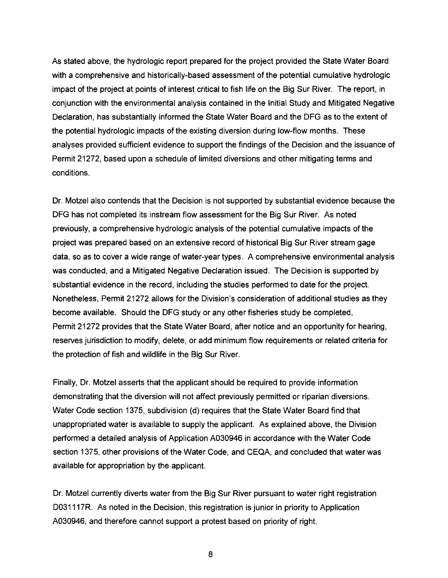As stated above. the hydrologic report prepared for the project provided the State Water Board with a comprehensive and historically-based assessment of the potential cumulative hydrologic impact of the project at points of interest critical to fish life on the Big Sur River. The report, in conjunction with the environmental analysis contained in the Initial Study and Mitigated Negative Declaration, has substantially informed the State Water Board and the DFG as to the extent of the potential hydrologic impacts of the existing diversion during low-flow months. These analyses provided sufficient evidence to support the findings of the Decision and the issuance of Permit 21272. based upon a schedule of limited diversions and other mitigating terms and conditions.

Dr. Motzel also contends that the Decision is not supported by substantial evidence because the DFG has not completed its instream flow assessment for the Big Sur River. As noted previously. a comprehensive hydrologic analysis of the potential cumulative impacts of the project was prepared based on an extensive record of historical Big Sur River stream gage data. so as to cover a wide range of water-year types. A comprehensive environmental analysis was conducted, and a Mitigated Negative Declaration issued. The Decision is supported by substantial evidence in the record. including the studies performed to date for the project. Nonetheless, Permit 21272 allows for the Division's consideration of additional studies as they become available. Should the DFG study or any other fisheries study be completed, Permit 21272 provides that the State Water Board, after notice and an opportunity for hearing, reserves jurisdiction to modify, delete, or add minimum flow requirements or related criteria for the protection of fish and wildlife in the Big Sur River.

Finally, Dr. Motzel asserts that the applicant should be required to provide information demonstrating that the diversion will not affect previously permitted or riparian diversions. Water Code section 1375, subdivision (d) requires that the State Water Board find that unappropriated water is available to supply the applicant. As explained above. the Division performed a detailed analysis of Application A030946 in accordance with the Water Code section 1375, other provisions of the Water Code, and CEQA, and concluded that water was available for appropriation by the applicant.

Dr. Motzel currently diverts water from the Big Sur River pursuant to water right registration D031117R. As noted in the Decision, this registration is junior in priority to Application A030946, and therefore cannot support a protest based on priority of right.

8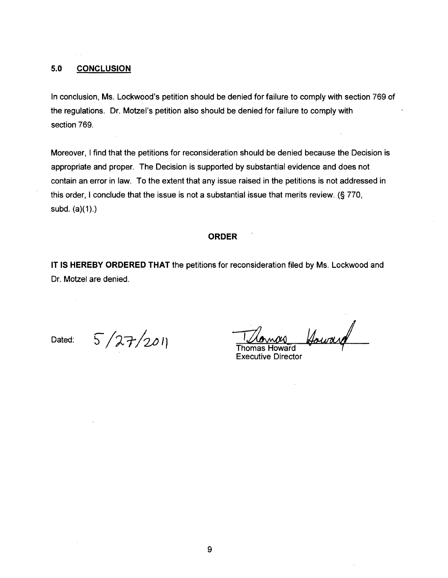## 5.0 **CONCLUSION**

In conclusion, Ms. Lockwood's petition should be denied for failure to comply with section 769 of the regulations. Dr. Motzel's petition also should be denied for failure to comply with section 769.

Moreover, I find that the petitions for reconsideration should be denied because the Decision is appropriate and proper. The Decision is supported by substantial evidence and does not contain an error in law. To the extent that any issue raised in the petitions is not addressed in this order, I conclude that the issue is not a substantial issue that merits review. (§ 770, subd.  $(a)(1)$ .)

#### **ORDER**

**IT IS HEREBY ORDERED THAT** the petitions for reconsideration filed by Ms. Lockwood and Dr. Motzel are denied.

 $\bar{z}$ 

Dated:  $5/27/201$  Thomas Howard Your and